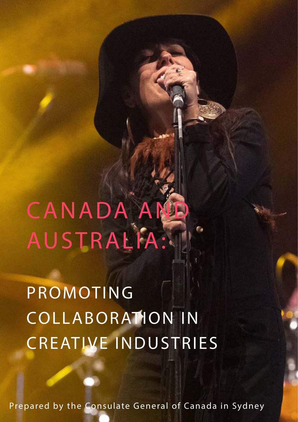CANADA AI AUSTRALIA:

PROMOTING COLLABORATION IN CREATIVE INDUSTRIES

Prepared by the Consulate General of Canada in Sydney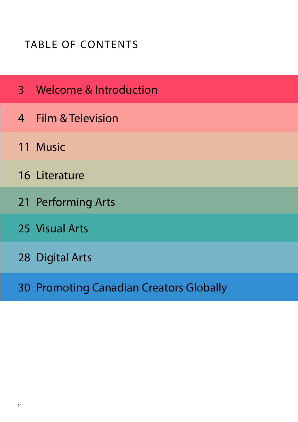## TABLE OF CONTENTS

- [Welcome & Introduction](#page-2-0)
- [Film & Television](#page-3-0)
- [Music](#page-10-0)
- [Literature](#page-15-0)
- [Performing Arts](#page-20-0)
- [Visual Arts](#page-24-0)
- [Digital Arts](#page-27-0)
- [Promoting Canadian Creators Globally](#page-29-0)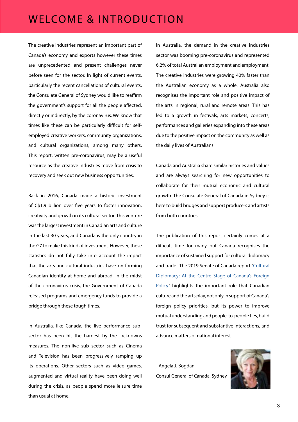#### <span id="page-2-0"></span>WELCOME & INTRODUCTION

The creative industries represent an important part of Canada's economy and exports however these times are unprecedented and present challenges never before seen for the sector. In light of current events, particularly the recent cancellations of cultural events, the Consulate General of Sydney would like to reaffirm the government's support for all the people affected, directly or indirectly, by the coronavirus. We know that times like these can be particularly difficult for selfemployed creative workers, community organizations, and cultural organizations, among many others. This report, written pre-coronavirus, may be a useful resource as the creative industries move from crisis to recovery and seek out new business opportunities.

Back in 2016, Canada made a historic investment of C\$1.9 billion over five years to foster innovation, creativity and growth in its cultural sector. This venture was the largest investment in Canadian arts and culture in the last 30 years, and Canada is the only country in the G7 to make this kind of investment. However, these statistics do not fully take into account the impact that the arts and cultural industries have on forming Canadian identity at home and abroad. In the midst of the coronavirus crisis, the Government of Canada released programs and emergency funds to provide a bridge through these tough times.

In Australia, like Canada, the live performance subsector has been hit the hardest by the lockdowns measures. The non-live sub sector such as Cinema and Television has been progressively ramping up its operations. Other sectors such as video games, augmented and virtual reality have been doing well during the crisis, as people spend more leisure time than usual at home.

In Australia, the demand in the creative industries sector was booming pre-coronavirus and represented 6.2% of total Australian employment and employment. The creative industries were growing 40% faster than the Australian economy as a whole. Australia also recognises the important role and positive impact of the arts in regional, rural and remote areas. This has led to a growth in festivals, arts markets, concerts, performances and galleries expanding into these areas due to the positive impact on the community as well as the daily lives of Australians.

Canada and Australia share similar histories and values and are always searching for new opportunities to collaborate for their mutual economic and cultural growth. The Consulate General of Canada in Sydney is here to build bridges and support producers and artists from both countries.

The publication of this report certainly comes at a difficult time for many but Canada recognises the importance of sustained support for cultural diplomacy and trade. The 2019 Senate of Canada report "[Cultural](https://sencanada.ca/en/info-page/parl-42-1/aefa-cultural-diplomacy/)  [Diplomacy: At the Centre Stage of Canada's Foreign](https://sencanada.ca/en/info-page/parl-42-1/aefa-cultural-diplomacy/)  [Policy"](https://sencanada.ca/en/info-page/parl-42-1/aefa-cultural-diplomacy/) highlights the important role that Canadian culture and the arts play, not only in support of Canada's foreign policy priorities, but its power to improve mutual understanding and people-to-people ties, build trust for subsequent and substantive interactions, and advance matters of national interest.

- Angela J. Bogdan Consul General of Canada, Sydney

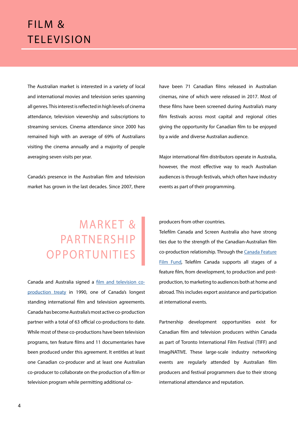### <span id="page-3-0"></span>FILM & **TELEVISION**

The Australian market is interested in a variety of local and international movies and television series spanning all genres. This interest is reflected in high levels of cinema attendance, television viewership and subscriptions to streaming services. Cinema attendance since 2000 has remained high with an average of 69% of Australians visiting the cinema annually and a majority of people averaging seven visits per year.

Canada's presence in the Australian film and television market has grown in the last decades. Since 2007, there have been 71 Canadian films released in Australian cinemas, nine of which were released in 2017. Most of these films have been screened during Australia's many film festivals across most capital and regional cities giving the opportunity for Canadian film to be enjoyed by a wide and diverse Australian audience.

Major international film distributors operate in Australia, however, the most effective way to reach Australian audiences is through festivals, which often have industry events as part of their programming.

## **MARKET &** PARTNERSHIP OPPORTUNITIES

Canada and Australia signed a [film and television co](https://telefilm.ca/en/coproduction/international-treaties/australia)[production t](https://telefilm.ca/en/coproduction/international-treaties/australia)reaty in 1990, one of Canada's longest standing international film and television agreements. Canada has become Australia's most active co-production partner with a total of 63 official co-productions to date. While most of these co-productions have been television programs, ten feature films and 11 documentaries have been produced under this agreement. It entitles at least one Canadian co-producer and at least one Australian co-producer to collaborate on the production of a film or television program while permitting additional coproducers from other countries.

Telefilm Canada and Screen Australia also have strong ties due to the strength of the Canadian-Australian film co-production relationship. Through the [Canada Feature](https://telefilm.ca/en/financing)  [Film Fund](https://telefilm.ca/en/financing), Telefilm Canada supports all stages of a feature film, from development, to production and postproduction, to marketing to audiences both at home and abroad. This includes export assistance and participation at international events.

Partnership development opportunities exist for Canadian film and television producers within Canada as part of Toronto International Film Festival (TIFF) and ImagiNATIVE. These large-scale industry networking events are regularly attended by Australian film producers and festival programmers due to their strong international attendance and reputation.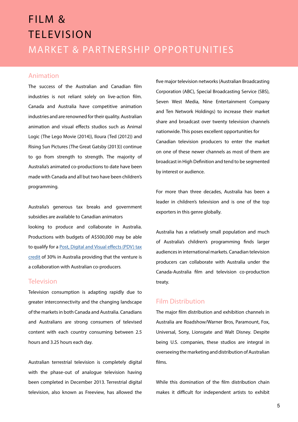### MARKET & PARTNERSHIP OPPORTUNITIES FILM & **TELEVISION**

#### Animation

The success of the Australian and Canadian film industries is not reliant solely on live-action film. Canada and Australia have competitive animation industries and are renowned for their quality. Australian animation and visual effects studios such as Animal Logic (The Lego Movie (2014)), Iloura (Ted (2012)) and Rising Sun Pictures (The Great Gatsby (2013)) continue to go from strength to strength. The majority of Australia's animated co-productions to date have been made with Canada and all but two have been children's programming.

Australia's generous tax breaks and government subsidies are available to Canadian animators looking to produce and collaborate in Australia. Productions with budgets of A\$500,000 may be able to qualify for a [Post, Digital and Visual effects \(PDV\) tax](https://www.ausfilm.com.au/incentives/post-digital-and-visual-effects-production-pdv-offset/) [credit](https://www.ausfilm.com.au/incentives/post-digital-and-visual-effects-production-pdv-offset/) of 30% in Australia providing that the venture is a collaboration with Australian co-producers.

#### **Television**

Television consumption is adapting rapidly due to greater interconnectivity and the changing landscape of the markets in both Canada and Australia. Canadians and Australians are strong consumers of televised content with each country consuming between 2.5 hours and 3.25 hours each day.

Australian terrestrial television is completely digital with the phase-out of analogue television having been completed in December 2013. Terrestrial digital television, also known as Freeview, has allowed the five major television networks (Australian Broadcasting Corporation (ABC), Special Broadcasting Service (SBS), Seven West Media, Nine Entertainment Company and Ten Network Holdings) to increase their market share and broadcast over twenty television channels nationwide. This poses excellent opportunities for Canadian television producers to enter the market on one of these newer channels as most of them are broadcast in High Definition and tend to be segmented by interest or audience.

For more than three decades, Australia has been a leader in children's television and is one of the top exporters in this genre globally.

Australia has a relatively small population and much of Australia's children's programming finds larger audiences in international markets. Canadian television producers can collaborate with Australia under the Canada-Australia film and television co-production treaty.

#### Film Distribution

The major film distribution and exhibition channels in Australia are Roadshow/Warner Bros, Paramount, Fox, Universal, Sony, Lionsgate and Walt Disney. Despite being U.S. companies, these studios are integral in overseeing the marketing and distribution of Australian films.

While this domination of the film distribution chain makes it difficult for independent artists to exhibit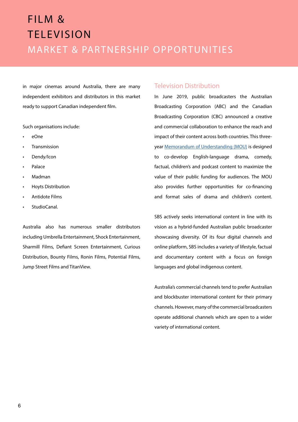### MARKET & PARTNERSHIP OPPORTUNITIES FILM & **TELEVISION**

in major cinemas around Australia, there are many independent exhibitors and distributors in this market ready to support Canadian independent film.

Such organisations include:

- eOne
- **Transmission**
- Dendy/Icon
- Palace
- Madman
- Hoyts Distribution
- Antidote Films
- StudioCanal

Australia also has numerous smaller distributors including Umbrella Entertainment, Shock Entertainment, Sharmill Films, Defiant Screen Entertainment, Curious Distribution, Bounty Films, Ronin Films, Potential Films, Jump Street Films and TitanView.

#### Television Distribution

In June 2019, public broadcasters the Australian Broadcasting Corporation (ABC) and the Canadian Broadcasting Corporation (CBC) announced a creative and commercial collaboration to enhance the reach and impact of their content across both countries. This threeyear [Memorandum of Understanding \(MOU\)](https://about.abc.net.au/press-releases/abc-and-cbc-announce-creative-and-commercial-collaboration/) is designed to co-develop English-language drama, comedy, factual, children's and podcast content to maximize the value of their public funding for audiences. The MOU also provides further opportunities for co-financing and format sales of drama and children's content.

SBS actively seeks international content in line with its vision as a hybrid-funded Australian public broadcaster showcasing diversity. Of its four digital channels and online platform, SBS includes a variety of lifestyle, factual and documentary content with a focus on foreign languages and global indigenous content.

Australia's commercial channels tend to prefer Australian and blockbuster international content for their primary channels. However, many of the commercial broadcasters operate additional channels which are open to a wider variety of international content.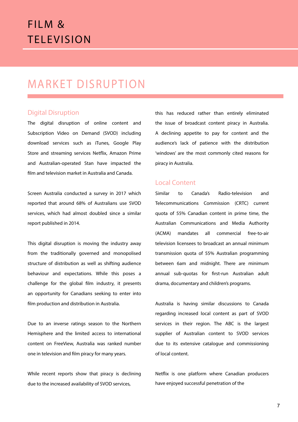### FILM & **TELEVISION**

#### MARKET DISRUPTION

#### Digital Disruption

The digital disruption of online content and Subscription Video on Demand (SVOD) including download services such as iTunes, Google Play Store and streaming services Netflix, Amazon Prime and Australian-operated Stan have impacted the film and television market in Australia and Canada.

Screen Australia conducted a survey in 2017 which reported that around 68% of Australians use SVOD services, which had almost doubled since a similar report published in 2014.

This digital disruption is moving the industry away from the traditionally governed and monopolised structure of distribution as well as shifting audience behaviour and expectations. While this poses a challenge for the global film industry, it presents an opportunity for Canadians seeking to enter into film production and distribution in Australia.

Due to an inverse ratings season to the Northern Hemisphere and the limited access to international content on FreeView, Australia was ranked number one in television and film piracy for many years.

While recent reports show that piracy is declining due to the increased availability of SVOD services,

this has reduced rather than entirely eliminated the issue of broadcast content piracy in Australia. A declining appetite to pay for content and the audience's lack of patience with the distribution 'windows' are the most commonly cited reasons for piracy in Australia.

#### Local Content

Similar to Canada's Radio-television and Telecommunications Commission (CRTC) current quota of 55% Canadian content in prime time, the Australian Communications and Media Authority (ACMA) mandates all commercial free-to-air television licensees to broadcast an annual minimum transmission quota of 55% Australian programming between 6am and midnight. There are minimum annual sub-quotas for first-run Australian adult drama, documentary and children's programs.

Australia is having similar discussions to Canada regarding increased local content as part of SVOD services in their region. The ABC is the largest supplier of Australian content to SVOD services due to its extensive catalogue and commissioning of local content.

Netflix is one platform where Canadian producers have enjoyed successful penetration of the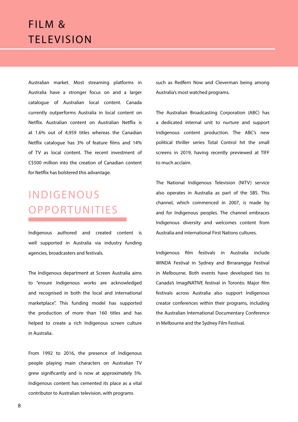### FILM & **TELEVISION**

Australian market. Most streaming platforms in Australia have a stronger focus on and a larger catalogue of Australian local content. Canada currently outperforms Australia in local content on Netflix. Australian content on Australian Netflix is at 1.6% out of 4,959 titles whereas the Canadian Netflix catalogue has 3% of feature films and 14% of TV as local content. The recent investment of C\$500 million into the creation of Canadian content for Netflix has bolstered this advantage.

## INDIGENOUS OPPORTUNITIES

Indigenous authored and created content is well supported in Australia via industry funding agencies, broadcasters and festivals.

The Indigenous department at Screen Australia aims to "ensure Indigenous works are acknowledged and recognised in both the local and international marketplace". This funding model has supported the production of more than 160 titles and has helped to create a rich Indigenous screen culture in Australia.

From 1992 to 2016, the presence of Indigenous people playing main characters on Australian TV grew significantly and is now at approximately 5%. Indigenous content has cemented its place as a vital contributor to Australian television, with programs

such as Redfern Now and Cleverman being among Australia's most watched programs.

The Australian Broadcasting Corporation (ABC) has a dedicated internal unit to nurture and support Indigenous content production. The ABC's new political thriller series Total Control hit the small screens in 2019, having recently previewed at TIFF to much acclaim.

The National Indigenous Television (NITV) service also operates in Australia as part of the SBS. This channel, which commenced in 2007, is made by and for Indigenous peoples. The channel embraces Indigenous diversity and welcomes content from Australia and international First Nations cultures.

Indigenous film festivals in Australia include WINDA Festival in Sydney and Birrarangga Festival in Melbourne. Both events have developed ties to Canada's ImagiNATIVE festival in Toronto. Major film festivals across Australia also support Indigenous creator conferences within their programs, including the Australian International Documentary Conference in Melbourne and the Sydney Film Festival.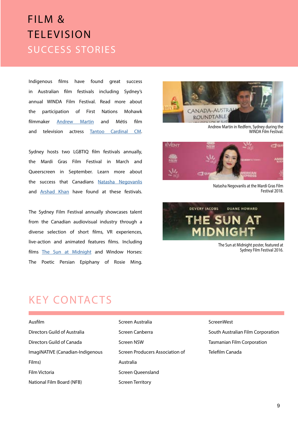### SUCCESS STORIES FILM & **TELEVISION**

Indigenous films have found great success in Australian film festivals including Sydney's annual WINDA Film Festival. Read more about the participation of First Nations Mohawk filmmaker [Andrew Martin](https://www.canadadownunder.org.au/andrewmartin/) and Métis film and television actress [Tantoo Cardinal CM](https://www.canadadownunder.org.au/tantoocardinal/).

Sydney hosts two LGBTIQ film festivals annually, the Mardi Gras Film Festival in March and Queerscreen in September. Learn more about the success that Canadians [Natasha Negovanlis](https://www.canadadownunder.org.au/natasha-negovanlis/) and [Arshad Khan](https://www.canadadownunder.org.au/arshad-khan-queerscreen/) have found at these festivals.

The Sydney Film Festival annually showcases talent from the Canadian audiovisual industry through a diverse selection of short films, VR experiences, live-action and animated features films. Including films [The Sun at Midnight](https://www.canadadownunder.org.au/kirstencarthew/) and Window Horses: The Poetic Persian Epiphany of Rosie Ming.



Andrew Martin in Redfern, Sydney during the WINDA Film Festival.



Natasha Negovanlis at the Mardi Gras Film Festival 2018.



The Sun at Midnight poster, featured at Sydney Film Festival 2016.

#### KEY CONTACTS

Ausfilm Directors Guild of Australia Directors Guild of Canada ImagiNATIVE (Canadian-Indigenous Films) Film Victoria National Film Board (NFB)

Screen Australia Screen Canberra Screen NSW Screen Producers Association of Australia Screen Queensland Screen Territory

**ScreenWest** South Australian Film Corporation Tasmanian Film Corporation Telefilm Canada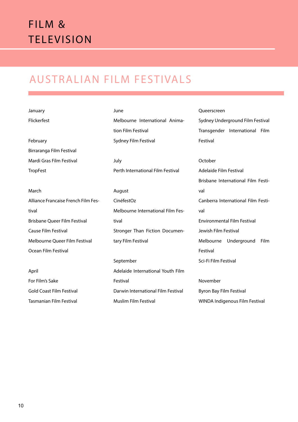## FILM & **TELEVISION**

### AUSTRALIAN FILM FESTIVALS

| January     |  |
|-------------|--|
| Flickerfest |  |

February Birraranga Film Festival Mardi Gras Film Festival **TropFest** 

March Alliance Francaise French Film Festival Brisbane Queer Film Festival Cause Film Festival Melbourne Queer Film Festival Ocean Film Festival

April For Film's Sake Gold Coast Film Festival Tasmanian Film Festival

June Melbourne International Animation Film Festival Sydney Film Festival

July Perth International Film Festival

August CinéfestOz Melbourne International Film Festival Stronger Than Fiction Documentary Film Festival

September Adelaide International Youth Film Festival Darwin International Film Festival Muslim Film Festival

Queerscreen Sydney Underground Film Festival Transgender International Film Festival

**October** Adelaide Film Festival Brisbane International Film Festival Canberra International Film Festival Environmental Film Festival Jewish Film Festival Melbourne Underground Film Festival Sci-Fi Film Festival

November Byron Bay Film Festival WINDA Indigenous Film Festival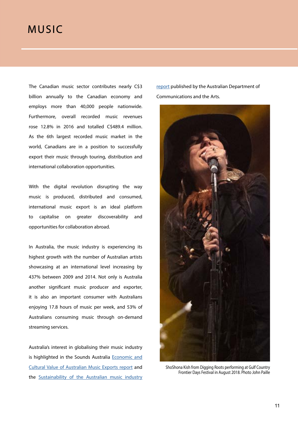#### <span id="page-10-0"></span>MUSIC

The Canadian music sector contributes nearly C\$3 billion annually to the Canadian economy and employs more than 40,000 people nationwide. Furthermore, overall recorded music revenues rose 12.8% in 2016 and totalled C\$489.4 million. As the 6th largest recorded music market in the world, Canadians are in a position to successfully export their music through touring, distribution and international collaboration opportunities.

With the digital revolution disrupting the way music is produced, distributed and consumed, international music export is an ideal platform to capitalise on greater discoverability and opportunities for collaboration abroad.

In Australia, the music industry is experiencing its highest growth with the number of Australian artists showcasing at an international level increasing by 437% between 2009 and 2014. Not only is Australia another significant music producer and exporter, it is also an important consumer with Australians enjoying 17.8 hours of music per week, and 53% of Australians consuming music through on-demand streaming services.

Australia's interest in globalising their music industry is highlighted in the Sounds Australia [Economic and](https://www.australiacouncil.gov.au/research/born-global) [Cultural Value of Australian Music Exports report](https://www.australiacouncil.gov.au/research/born-global) and the [Sustainability of the Australian music industry](https://www.aph.gov.au/Parliamentary_Business/Committees/House/Communications/Australianmusicindustry/) [report](https://www.aph.gov.au/Parliamentary_Business/Committees/House/Communications/Australianmusicindustry/) published by the Australian Department of Communications and the Arts.



ShoShona Kish from Digging Roots performing at Gulf Country Frontier Days Festival in August 2018. Photo John Paille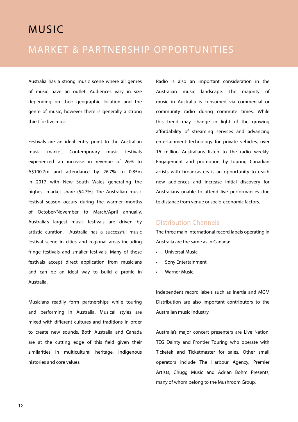#### MARKET AND PARTNERSHIP AND PARTNERSHIP AND PARTNERSHIP AND AND PARTNERSHIP AND A **MUSIC**

#### MARKET & PARTNERSHIP OPPORTUNITIES

Australia has a strong music scene where all genres of music have an outlet. Audiences vary in size depending on their geographic location and the genre of music, however there is generally a strong thirst for live music.

Festivals are an ideal entry point to the Australian music market. Contemporary music festivals experienced an increase in revenue of 26% to A\$100.7m and attendance by 26.7% to 0.85m in 2017 with New South Wales generating the highest market share (54.7%). The Australian music festival season occurs during the warmer months of October/November to March/April annually. Australia's largest music festivals are driven by artistic curation. Australia has a successful music festival scene in cities and regional areas including fringe festivals and smaller festivals. Many of these festivals accept direct application from musicians and can be an ideal way to build a profile in Australia.

Musicians readily form partnerships while touring and performing in Australia. Musical styles are mixed with different cultures and traditions in order to create new sounds. Both Australia and Canada are at the cutting edge of this field given their similarities in multicultural heritage, indigenous histories and core values.

Radio is also an important consideration in the Australian music landscape. The majority of music in Australia is consumed via commercial or community radio during commute times. While this trend may change in light of the growing affordability of streaming services and advancing entertainment technology for private vehicles, over 16 million Australians listen to the radio weekly. Engagement and promotion by touring Canadian artists with broadcasters is an opportunity to reach new audiences and increase initial discovery for Australians unable to attend live performances due to distance from venue or socio-economic factors.

#### Distribution Channels

The three main international record labels operating in Australia are the same as in Canada:

- Universal Music
- Sony Entertainment
- Warner Music.

Independent record labels such as Inertia and MGM Distribution are also important contributors to the Australian music industry.

Australia's major concert presenters are Live Nation, TEG Dainty and Frontier Touring who operate with Ticketek and Ticketmaster for sales. Other small operators include The Harbour Agency, Premier Artists, Chugg Music and Adrian Bohm Presents, many of whom belong to the Mushroom Group.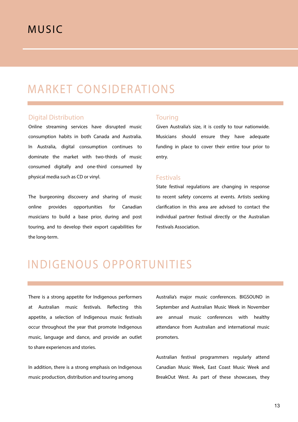### MARKET CONSIDERATIONS

#### Digital Distribution

Online streaming services have disrupted music consumption habits in both Canada and Australia. In Australia, digital consumption continues to dominate the market with two-thirds of music consumed digitally and one-third consumed by physical media such as CD or vinyl.

The burgeoning discovery and sharing of music online provides opportunities for Canadian musicians to build a base prior, during and post touring, and to develop their export capabilities for the long-term.

#### **Touring**

Given Australia's size, it is costly to tour nationwide. Musicians should ensure they have adequate funding in place to cover their entire tour prior to entry.

#### Festivals

State festival regulations are changing in response to recent safety concerns at events. Artists seeking clarification in this area are advised to contact the individual partner festival directly or the Australian Festivals Association.

### INDIGENOUS OPPORTUNITIES

There is a strong appetite for Indigenous performers at Australian music festivals. Reflecting this appetite, a selection of Indigenous music festivals occur throughout the year that promote Indigenous music, language and dance, and provide an outlet to share experiences and stories.

In addition, there is a strong emphasis on Indigenous music production, distribution and touring among

Australia's major music conferences. BIGSOUND in September and Australian Music Week in November are annual music conferences with healthy attendance from Australian and international music promoters.

Australian festival programmers regularly attend Canadian Music Week, East Coast Music Week and BreakOut West. As part of these showcases, they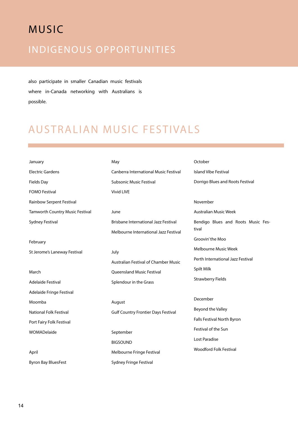## MUSIC INDIGENOUS OPPORTUNITIES

also participate in smaller Canadian music festivals where in-Canada networking with Australians is possible.

### AUSTRALIAN MUSIC FESTIVALS

| January                         | May                                          | October                            |
|---------------------------------|----------------------------------------------|------------------------------------|
| <b>Electric Gardens</b>         | <b>Canberra International Music Festival</b> | <b>Island Vibe Festival</b>        |
| <b>Fields Day</b>               | <b>Subsonic Music Festival</b>               | Dorrigo Blues and Roots Festival   |
| <b>FOMO Festival</b>            | <b>Vivid LIVE</b>                            |                                    |
| Rainbow Serpent Festival        |                                              | November                           |
| Tamworth Country Music Festival | June                                         | <b>Australian Music Week</b>       |
| <b>Sydney Festival</b>          | <b>Brisbane International Jazz Festival</b>  | Bendigo Blues and Roots Music Fes- |
|                                 | Melbourne International Jazz Festival        | tival                              |
| February                        |                                              | Groovin' the Moo                   |
| St Jerome's Laneway Festival    | July                                         | Melbourne Music Week               |
|                                 | <b>Australian Festival of Chamber Music</b>  | Perth International Jazz Festival  |
| March                           | Queensland Music Festival                    | Spilt Milk                         |
| <b>Adelaide Festival</b>        | Splendour in the Grass                       | <b>Strawberry Fields</b>           |
| Adelaide Fringe Festival        |                                              |                                    |
| Moomba                          | August                                       | December                           |
| <b>National Folk Festival</b>   | <b>Gulf Country Frontier Days Festival</b>   | Beyond the Valley                  |
| Port Fairy Folk Festival        |                                              | Falls Festival North Byron         |
| WOMADelaide                     | September                                    | Festival of the Sun                |
|                                 | <b>BIGSOUND</b>                              | Lost Paradise                      |
| April                           | Melbourne Fringe Festival                    | <b>Woodford Folk Festival</b>      |
| <b>Byron Bay BluesFest</b>      | Sydney Fringe Festival                       |                                    |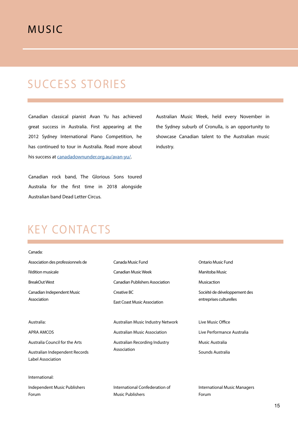#### MUSIC

### SUCCESS STORIES

Canadian classical pianist Avan Yu has achieved great success in Australia. First appearing at the 2012 Sydney International Piano Competition, he has continued to tour in Australia. Read more about his success at [canadadownunder.org.au/avan-yu/](https://www.canadadownunder.org.au/avan-yu/).

Canadian rock band, The Glorious Sons toured Australia for the first time in 2018 alongside Australian band Dead Letter Circus.

Australian Music Week, held every November in the Sydney suburb of Cronulla, is an opportunity to showcase Canadian talent to the Australian music industry.

### KEY CONTACTS

| Canada:                                             |                                                    |                                                         |
|-----------------------------------------------------|----------------------------------------------------|---------------------------------------------------------|
| Association des professionnels de                   | Canada Music Fund                                  | Ontario Music Fund                                      |
| l'édition musicale                                  | <b>Canadian Music Week</b>                         | Manitoba Music                                          |
| <b>BreakOut West</b>                                | <b>Canadian Publishers Association</b>             | Musicaction                                             |
| Canadian Independent Music<br>Association           | Creative BC<br><b>East Coast Music Association</b> | Société de développement des<br>entreprises culturelles |
| Australia:                                          | Australian Music Industry Network                  | Live Music Office                                       |
| <b>APRA AMCOS</b>                                   | <b>Australian Music Association</b>                | Live Performance Australia                              |
| Australia Council for the Arts                      | Australian Recording Industry                      | Music Australia                                         |
| Australian Independent Records<br>Label Association | Association                                        | Sounds Australia                                        |
| International:                                      |                                                    |                                                         |
| Independent Music Publishers                        | International Confederation of                     | <b>International Music Managers</b>                     |
| Forum                                               | <b>Music Publishers</b>                            | Forum                                                   |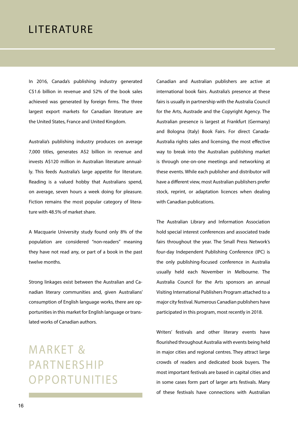<span id="page-15-0"></span>In 2016, Canada's publishing industry generated C\$1.6 billion in revenue and 52% of the book sales achieved was generated by foreign firms. The three largest export markets for Canadian literature are the United States, France and United Kingdom.

Australia's publishing industry produces on average 7,000 titles, generates A\$2 billion in revenue and invests A\$120 million in Australian literature annually. This feeds Australia's large appetite for literature. Reading is a valued hobby that Australians spend, on average, seven hours a week doing for pleasure. Fiction remains the most popular category of literature with 48.5% of market share.

A Macquarie University study found only 8% of the population are considered "non-readers" meaning they have not read any, or part of a book in the past twelve months.

Strong linkages exist between the Australian and Canadian literary communities and, given Australians' consumption of English language works, there are opportunities in this market for English language or translated works of Canadian authors.

**MARKET &** PARTNERSHIP OPPORTUNITIES Canadian and Australian publishers are active at international book fairs. Australia's presence at these fairs is usually in partnership with the Australia Council for the Arts, Austrade and the Copyright Agency. The Australian presence is largest at Frankfurt (Germany) and Bologna (Italy) Book Fairs. For direct Canada-Australia rights sales and licensing, the most effective way to break into the Australian publishing market is through one-on-one meetings and networking at these events. While each publisher and distributor will have a different view, most Australian publishers prefer stock, reprint, or adaptation licences when dealing with Canadian publications.

The Australian Library and Information Association hold special interest conferences and associated trade fairs throughout the year. The Small Press Network's four-day Independent Publishing Conference (IPC) is the only publishing-focused conference in Australia usually held each November in Melbourne. The Australia Council for the Arts sponsors an annual Visiting International Publishers Program attached to a major city festival. Numerous Canadian publishers have participated in this program, most recently in 2018.

Writers' festivals and other literary events have flourished throughout Australia with events being held in major cities and regional centres. They attract large crowds of readers and dedicated book buyers. The most important festivals are based in capital cities and in some cases form part of larger arts festivals. Many of these festivals have connections with Australian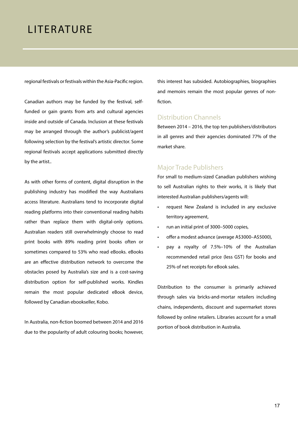regional festivals or festivals within the Asia-Pacific region.

Canadian authors may be funded by the festival, selffunded or gain grants from arts and cultural agencies inside and outside of Canada. Inclusion at these festivals may be arranged through the author's publicist/agent following selection by the festival's artistic director. Some regional festivals accept applications submitted directly by the artist..

As with other forms of content, digital disruption in the publishing industry has modified the way Australians access literature. Australians tend to incorporate digital reading platforms into their conventional reading habits rather than replace them with digital-only options. Australian readers still overwhelmingly choose to read print books with 89% reading print books often or sometimes compared to 53% who read eBooks. eBooks are an effective distribution network to overcome the obstacles posed by Australia's size and is a cost-saving distribution option for self-published works. Kindles remain the most popular dedicated eBook device, followed by Canadian ebookseller, Kobo.

In Australia, non-fiction boomed between 2014 and 2016 due to the popularity of adult colouring books; however, this interest has subsided. Autobiographies, biographies and memoirs remain the most popular genres of nonfiction.

#### Distribution Channels

Between 2014 – 2016, the top ten publishers/distributors in all genres and their agencies dominated 77% of the market share.

#### Major Trade Publishers

For small to medium-sized Canadian publishers wishing to sell Australian rights to their works, it is likely that interested Australian publishers/agents will:

- request New Zealand is included in any exclusive territory agreement,
- run an initial print of 3000–5000 copies,
- offer a modest advance (average A\$3000–A\$5000),
- pay a royalty of 7.5%–10% of the Australian recommended retail price (less GST) for books and 25% of net receipts for eBook sales.

Distribution to the consumer is primarily achieved through sales via bricks-and-mortar retailers including chains, independents, discount and supermarket stores followed by online retailers. Libraries account for a small portion of book distribution in Australia.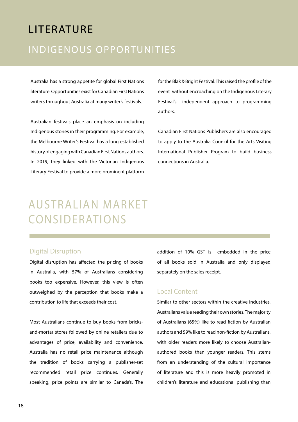#### INDIGENOUS OPPORTUNITIES ET EAST

Australia has a strong appetite for global First Nations literature. Opportunities exist for Canadian First Nations writers throughout Australia at many writer's festivals.

Australian festivals place an emphasis on including Indigenous stories in their programming. For example, the Melbourne Writer's Festival has a long established history of engaging with Canadian First Nations authors. In 2019, they linked with the Victorian Indigenous Literary Festival to provide a more prominent platform

for the Blak & Bright Festival. This raised the profile of the event without encroaching on the Indigenous Literary Festival's independent approach to programming authors.

Canadian First Nations Publishers are also encouraged to apply to the Australia Council for the Arts Visiting International Publisher Program to build business connections in Australia.

## AUSTRALIAN MARKET CONSIDERATIONS

#### Digital Disruption

Digital disruption has affected the pricing of books in Australia, with 57% of Australians considering books too expensive. However, this view is often outweighed by the perception that books make a contribution to life that exceeds their cost.

Most Australians continue to buy books from bricksand-mortar stores followed by online retailers due to advantages of price, availability and convenience. Australia has no retail price maintenance although the tradition of books carrying a publisher-set recommended retail price continues. Generally speaking, price points are similar to Canada's. The addition of 10% GST is embedded in the price of all books sold in Australia and only displayed separately on the sales receipt.

#### Local Content

Similar to other sectors within the creative industries, Australians value reading their own stories. The majority of Australians (65%) like to read fiction by Australian authors and 59% like to read non-fiction by Australians, with older readers more likely to choose Australianauthored books than younger readers. This stems from an understanding of the cultural importance of literature and this is more heavily promoted in children's literature and educational publishing than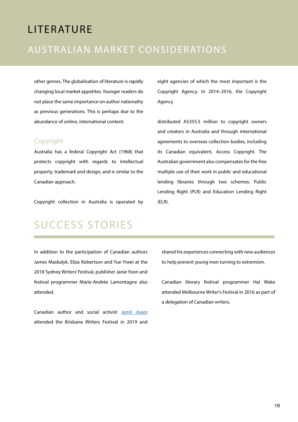#### AUSTRALIAN MARKET CONSIDERATIONS

other genres. The globalisation of literature is rapidly changing local market appetites. Younger readers do not place the same importance on author nationality as previous generations. This is perhaps due to the abundance of online, international content.

#### Copyright

Australia has a federal Copyright Act (1968) that protects copyright with regards to intellectual property, trademark and design, and is similar to the Canadian approach.

Copyright collection in Australia is operated by

eight agencies of which the most important is the Copyright Agency. In 2014–2016, the Copyright Agency

distributed A\$355.5 million to copyright owners and creators in Australia and through international agreements to overseas collection bodies, including its Canadian equivalent, Access Copyright. The Australian government also compensates for the free multiple use of their work in public and educational lending libraries through two schemes: Public Lending Right (PLR) and Education Lending Right (ELR).

### SUCCESS STORIES

In addition to the participation of Canadian authors James Maskalyk, Eliza Robertson and Yue Yiwei at the 2018 Sydney Writers' Festival, publisher Janie Yoon and festival programmer Marie-Andrée Lamontagne also attended.

Canadian author and social activist [Jamil Jivani](https://www.canadadownunder.org.au/why-young-men/) attended the Brisbane Writers Festival in 2019 and shared his experiences connecting with new audiences to help prevent young men turning to extremism.

Canadian literary festival programmer Hal Wake attended Melbourne Writer's Festival in 2016 as part of a delegation of Canadian writers.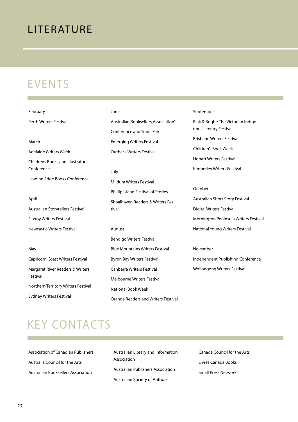### EVENTS

| February                                     | June                                        | September                             |
|----------------------------------------------|---------------------------------------------|---------------------------------------|
| Perth Writers Festival                       | <b>Australian Booksellers Association's</b> | Blak & Bright: The Victorian Indige-  |
|                                              | <b>Conference and Trade Fair</b>            | nous Literary Festival                |
| March                                        | <b>Emerging Writers Festival</b>            | <b>Brisbane Writers Festival</b>      |
| <b>Adelaide Writers Week</b>                 | <b>Outback Writers Festival</b>             | Children's Book Week                  |
| <b>Childrens Books and Illustrators</b>      |                                             | <b>Hobart Writers Festival</b>        |
| Conference                                   | July                                        | Kimberley Writers Festival            |
| Leading Edge Books Conference                | Mildura Writers Festival                    |                                       |
|                                              | Phillip Island Festival of Stories          | October                               |
| April                                        | Shoalhaven Readers & Writers Fes-           | Australian Short Story Festival       |
| Australian Storytellers Festival             | tival                                       | <b>Digital Writers Festival</b>       |
| <b>Fitzroy Writers Festival</b>              |                                             | Mornington Peninsula Writers Festival |
| <b>Newcastle Writers Festival</b>            | August                                      | National Young Writers Festival       |
|                                              | Bendigo Writers Festival                    |                                       |
| May                                          | <b>Blue Mountains Writers Festival</b>      | November                              |
| Capricorn Coast Writers Festival             | Byron Bay Writers Festival                  | Independent Publishing Conference     |
| Margaret River Readers & Writers<br>Festival | <b>Canberra Writers Festival</b>            | <b>Wollongong Writers Festival</b>    |
|                                              | <b>Melbourne Writers Festival</b>           |                                       |
| Northern Territory Writers Festival          | National Book Week                          |                                       |
| Sydney Writers Festival                      | Orange Readers and Writers Festival         |                                       |

## KEY CONTACTS

| <b>Association of Canadian Publishers</b> |
|-------------------------------------------|
| Australia Council for the Arts            |
| <b>Australian Booksellers Association</b> |

Australian Library and Information Association Australian Publishers Association Australian Society of Authors

Canada Council for the Arts Livres Canada Books Small Press Network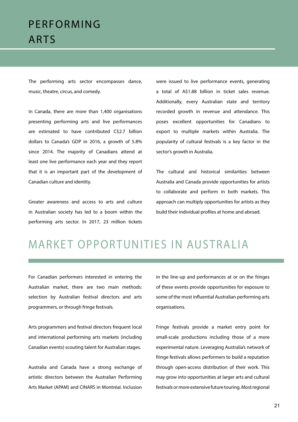### <span id="page-20-0"></span>PERFORMING ARTS

The performing arts sector encompasses dance, music, theatre, circus, and comedy.

In Canada, there are more than 1,400 organisations presenting performing arts and live performances are estimated to have contributed C\$2.7 billion dollars to Canada's GDP in 2016, a growth of 5.8% since 2014. The majority of Canadians attend at least one live performance each year and they report that it is an important part of the development of Canadian culture and identity.

Greater awareness and access to arts and culture in Australian society has led to a boom within the performing arts sector. In 2017, 23 million tickets were issued to live performance events, generating a total of A\$1.88 billion in ticket sales revenue. Additionally, every Australian state and territory recorded growth in revenue and attendance. This poses excellent opportunities for Canadians to export to multiple markets within Australia. The popularity of cultural festivals is a key factor in the sector's growth in Australia.

The cultural and historical similarities between Australia and Canada provide opportunities for artists to collaborate and perform in both markets. This approach can multiply opportunities for artists as they build their individual profiles at home and abroad.

### MARKET OPPORTUNITIES IN AUSTRALIA

For Canadian performers interested in entering the Australian market, there are two main methods: selection by Australian festival directors and arts programmers, or through fringe festivals.

Arts programmers and festival directors frequent local and international performing arts markets (including Canadian events) scouting talent for Australian stages.

Australia and Canada have a strong exchange of artistic directors between the Australian Performing Arts Market (APAM) and CINARS in Montréal. Inclusion in the line-up and performances at or on the fringes of these events provide opportunities for exposure to some of the most influential Australian performing arts organisations.

Fringe festivals provide a market entry point for small-scale productions including those of a more experimental nature. Leveraging Australia's network of fringe festivals allows performers to build a reputation through open-access distribution of their work. This may grow into opportunities at larger arts and cultural festivals or more extensive future touring. Most regional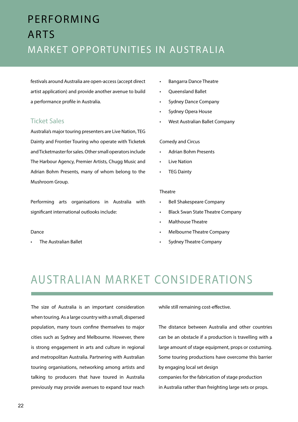## PERFORMING ARTS MARKET OPPORTUNITIES IN AUSTRALIA

festivals around Australia are open-access (accept direct artist application) and provide another avenue to build a performance profile in Australia.

#### Ticket Sales

Australia's major touring presenters are Live Nation, TEG Dainty and Frontier Touring who operate with Ticketek and Ticketmaster for sales. Other small operators include The Harbour Agency, Premier Artists, Chugg Music and Adrian Bohm Presents, many of whom belong to the Mushroom Group.

Performing arts organisations in Australia with significant international outlooks include:

#### Dance

• The Australian Ballet

- Bangarra Dance Theatre
- Queensland Ballet
- Sydney Dance Company
- Sydney Opera House
- West Australian Ballet Company

#### Comedy and Circus

- Adrian Bohm Presents
- **Live Nation**
- **TEG Dainty**

#### Theatre

- Bell Shakespeare Company
- Black Swan State Theatre Company
- Malthouse Theatre
- Melbourne Theatre Company
- Sydney Theatre Company

## AUSTRALIAN MARKET CONSIDERATIONS

The size of Australia is an important consideration when touring. As a large country with a small, dispersed population, many tours confine themselves to major cities such as Sydney and Melbourne. However, there is strong engagement in arts and culture in regional and metropolitan Australia. Partnering with Australian touring organisations, networking among artists and talking to producers that have toured in Australia previously may provide avenues to expand tour reach while still remaining cost-effective.

The distance between Australia and other countries can be an obstacle if a production is travelling with a large amount of stage equipment, props or costuming. Some touring productions have overcome this barrier by engaging local set design companies for the fabrication of stage production

in Australia rather than freighting large sets or props.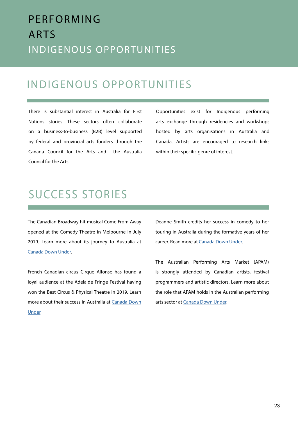## PERFORMING ARTS INDIGENOUS OPPORTUNITIES

#### INDIGENOUS OPPORTUNITIES

There is substantial interest in Australia for First Nations stories. These sectors often collaborate on a business-to-business (B2B) level supported by federal and provincial arts funders through the Canada Council for the Arts and the Australia Council for the Arts.

Opportunities exist for Indigenous performing arts exchange through residencies and workshops hosted by arts organisations in Australia and Canada. Artists are encouraged to research links within their specific genre of interest.

### SUCCESS STORIES

The Canadian Broadway hit musical Come From Away opened at the Comedy Theatre in Melbourne in July 2019. Learn more about its journey to Australia at [Canada Down Under.](https://www.canadadownunder.org.au/comefromaway/)

French Canadian circus Cirque Alfonse has found a loyal audience at the Adelaide Fringe Festival having won the Best Circus & Physical Theatre in 2019. Learn more about their success in Australia at [Canada Down](https://www.canadadownunder.org.au/barbu/) [Under.](https://www.canadadownunder.org.au/barbu/)

Deanne Smith credits her success in comedy to her touring in Australia during the formative years of her career. Read more at [Canada Down Under](https://www.canadadownunder.org.au/deanne-smith/).

The Australian Performing Arts Market (APAM) is strongly attended by Canadian artists, festival programmers and artistic directors. Learn more about the role that APAM holds in the Australian performing arts sector at [Canada Down Under](https://www.canadadownunder.org.au/apam-helps-grow-arts-community/).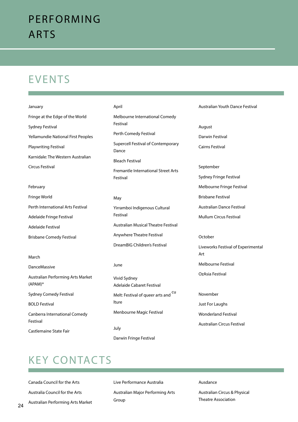### PERFORMING ARTS

### EVENTS

#### January

Fringe at the Edge of the World Sydney Festival Yellamundie National First Peoples Playwriting Festival Karnidale: The Western Australian Circus Festival

#### February

| Fringe World                      |
|-----------------------------------|
| Perth International Arts Festival |
| Adelaide Fringe Festival          |
| Adelaide Festival                 |
| <b>Brisbane Comedy Festival</b>   |

#### March

DanceMassive Australian Performing Arts Market (APAM)\* Sydney Comedy Festival BOLD Festival Canberra International Comedy Festival Castlemaine State Fair

#### April

Melbourne International Comedy Festival Perth Comedy Festival Supercell Festival of Contemporary Dance Bleach Festival Fremantle International Street Arts Festival

#### May

Yirramboi Indigenous Cultural Festival Australian Musical Theatre Festival Anywhere Theatre Festival DreamBIG Children's Festival

#### June

Vivid Sydney Adelaide Cabaret Festival Melt: Festival of queer arts and <sup>cu</sup> lture Menbourne Magic Festival

July Darwin Fringe Festival

#### Australian Youth Dance Festival

August Darwin Festival Cairns Festival

#### September

- Sydney Fringe Festival
- Melbourne Fringe Festival
- Brisbane Festival
- Australian Dance Festival
- Mullum Circus Festival

#### October

- Liveworks Festival of Experimental Art
- Melbourne Festival
- OzAsia Festival

#### November

- Just For Laughs
- Wonderland Festival
- Australian Circus Festival

### KEY CONTACTS

Canada Council for the Arts Australia Council for the Arts Australian Performing Arts Market Live Performance Australia Australian Major Performing Arts Group

#### Ausdance

Australian Circus & Physical Theatre Association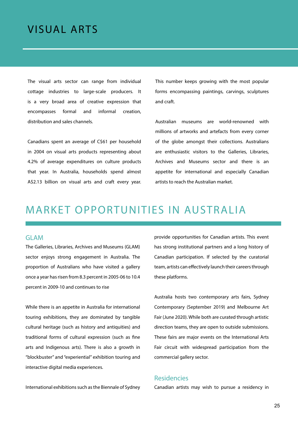#### <span id="page-24-0"></span>VISUAL ARTS

The visual arts sector can range from individual cottage industries to large-scale producers. It is a very broad area of creative expression that encompasses formal and informal creation, distribution and sales channels.

Canadians spent an average of C\$61 per household in 2004 on visual arts products representing about 4.2% of average expenditures on culture products that year. In Australia, households spend almost A\$2.13 billion on visual arts and craft every year. This number keeps growing with the most popular forms encompassing paintings, carvings, sculptures and craft.

Australian museums are world-renowned with millions of artworks and artefacts from every corner of the globe amongst their collections. Australians are enthusiastic visitors to the Galleries, Libraries, Archives and Museums sector and there is an appetite for international and especially Canadian artists to reach the Australian market.

#### MARKET OPPORTUNITIES IN AUSTRALIA

#### GLAM

The Galleries, Libraries, Archives and Museums (GLAM) sector enjoys strong engagement in Australia. The proportion of Australians who have visited a gallery once a year has risen from 8.3 percent in 2005-06 to 10.4 percent in 2009-10 and continues to rise

While there is an appetite in Australia for international touring exhibitions, they are dominated by tangible cultural heritage (such as history and antiquities) and traditional forms of cultural expression (such as fine arts and Indigenous arts). There is also a growth in "blockbuster" and "experiential" exhibition touring and interactive digital media experiences.

International exhibitions such as the Biennale of Sydney

provide opportunities for Canadian artists. This event has strong institutional partners and a long history of Canadian participation. If selected by the curatorial team, artists can effectively launch their careers through these platforms.

Australia hosts two contemporary arts fairs, Sydney Contemporary (September 2019) and Melbourne Art Fair (June 2020). While both are curated through artistic direction teams, they are open to outside submissions. These fairs are major events on the International Arts Fair circuit with widespread participation from the commercial gallery sector.

#### Residencies

Canadian artists may wish to pursue a residency in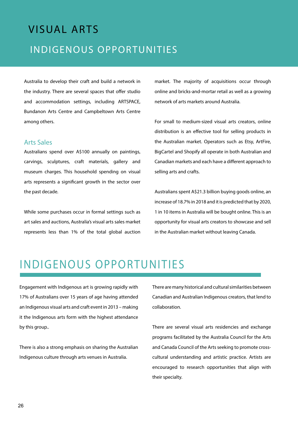## VISUAL ARTS INDIGENOUS OPPORTUNITIES

Australia to develop their craft and build a network in the industry. There are several spaces that offer studio and accommodation settings, including ARTSPACE, Bundanon Arts Centre and Campbeltown Arts Centre among others.

#### Arts Sales

Australians spend over A\$100 annually on paintings, carvings, sculptures, craft materials, gallery and museum charges. This household spending on visual arts represents a significant growth in the sector over the past decade.

While some purchases occur in formal settings such as art sales and auctions, Australia's visual arts sales market represents less than 1% of the total global auction market. The majority of acquisitions occur through online and bricks-and-mortar retail as well as a growing network of arts markets around Australia.

For small to medium-sized visual arts creators, online distribution is an effective tool for selling products in the Australian market. Operators such as Etsy, ArtFire, BigCartel and Shopify all operate in both Australian and Canadian markets and each have a different approach to selling arts and crafts.

Australians spent A\$21.3 billion buying goods online, an increase of 18.7% in 2018 and it is predicted that by 2020, 1 in 10 items in Australia will be bought online. This is an opportunity for visual arts creators to showcase and sell in the Australian market without leaving Canada.

### INDIGENOUS OPPORTUNITIES

Engagement with Indigenous art is growing rapidly with 17% of Australians over 15 years of age having attended an Indigenous visual arts and craft event in 2013 – making it the Indigenous arts form with the highest attendance by this group..

There is also a strong emphasis on sharing the Australian Indigenous culture through arts venues in Australia.

There are many historical and cultural similarities between Canadian and Australian Indigenous creators, that lend to collaboration.

There are several visual arts residencies and exchange programs facilitated by the Australia Council for the Arts and Canada Council of the Arts seeking to promote crosscultural understanding and artistic practice. Artists are encouraged to research opportunities that align with their specialty.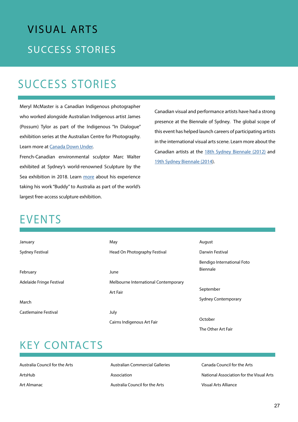# VISUAL ARTS **SUCCESS STORIES**

## SUCCESS STORIES

Meryl McMaster is a Canadian Indigenous photographer who worked alongside Australian Indigenous artist James (Possum) Tylor as part of the Indigenous "In Dialogue" exhibition series at the Australian Centre for Photography. Learn more at [Canada Down Under](https://www.canadadownunder.org.au/aski-earth-terre-yarta/).

French-Canadian environmental sculptor Marc Walter exhibited at Sydney's world-renowned Sculpture by the Sea exhibition in 2018. Learn [more](https://www.canadadownunder.org.au/buddy-stands-tall/) about his experience taking his work "Buddy" to Australia as part of the world's largest free-access sculpture exhibition.

Canadian visual and performance artists have had a strong presence at the Biennale of Sydney. The global scope of this event has helped launch careers of participating artists in the international visual arts scene. Learn more about the Canadian artists at the [18th Sydney Biennale \(2012\)](https://www.canadadownunder.org.au/looking-back-canadian-artists-at-18th-biennale-of-sydney/) and [19th Sydney Biennale \(2014](https://www.youtube.com/watch?v=5ruIP1ila-k&list=PLb9qivShAqAsJzU8j_ep5gSGG0N9Rkmsv)).

## **EVENTS**

| January                  | May                                  | August                     |
|--------------------------|--------------------------------------|----------------------------|
| <b>Sydney Festival</b>   | Head On Photography Festival         | Darwin Festival            |
|                          |                                      | Bendigo International Foto |
| February                 | June                                 | Biennale                   |
| Adelaide Fringe Festival | Melbourne International Contemporary |                            |
|                          | <b>Art Fair</b>                      | September                  |
| March                    |                                      | <b>Sydney Contemporary</b> |
| Castlemaine Festival     | July                                 |                            |
|                          | Cairns Indigenous Art Fair           | October                    |
|                          |                                      | The Other Art Fair         |

### KEY CONTACTS

Australia Council for the Arts ArtsHub Art Almanac

Australian Commercial Galleries Association Australia Council for the Arts

Canada Council for the Arts National Association for the Visual Arts Visual Arts Alliance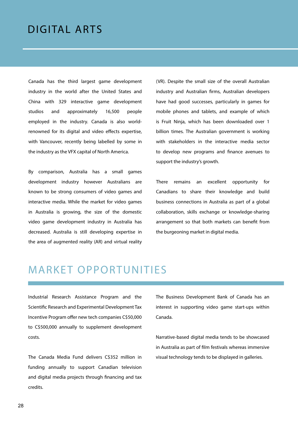#### <span id="page-27-0"></span>DIGITAL ARTS

Canada has the third largest game development industry in the world after the United States and China with 329 interactive game development studios and approximately 16,500 people employed in the industry. Canada is also worldrenowned for its digital and video effects expertise, with Vancouver, recently being labelled by some in the industry as the VFX capital of North America.

By comparison, Australia has a small games development industry however Australians are known to be strong consumers of video games and interactive media. While the market for video games in Australia is growing, the size of the domestic video game development industry in Australia has decreased. Australia is still developing expertise in the area of augmented reality (AR) and virtual reality

(VR). Despite the small size of the overall Australian industry and Australian firms, Australian developers have had good successes, particularly in games for mobile phones and tablets, and example of which is Fruit Ninja, which has been downloaded over 1 billion times. The Australian government is working with stakeholders in the interactive media sector to develop new programs and finance avenues to support the industry's growth.

There remains an excellent opportunity for Canadians to share their knowledge and build business connections in Australia as part of a global collaboration, skills exchange or knowledge-sharing arrangement so that both markets can benefit from the burgeoning market in digital media.

#### MARKET OPPORTUNITIES

Industrial Research Assistance Program and the Scientific Research and Experimental Development Tax Incentive Program offer new tech companies C\$50,000 to C\$500,000 annually to supplement development costs.

The Canada Media Fund delivers C\$352 million in funding annually to support Canadian television and digital media projects through financing and tax credits.

The Business Development Bank of Canada has an interest in supporting video game start-ups within Canada.

Narrative-based digital media tends to be showcased in Australia as part of film festivals whereas immersive visual technology tends to be displayed in galleries.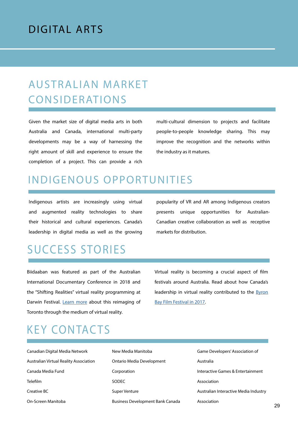#### DIGITAL ARTS

## **AUSTRALIAN MARKET** CONSIDERATIONS

Given the market size of digital media arts in both Australia and Canada, international multi-party developments may be a way of harnessing the right amount of skill and experience to ensure the completion of a project. This can provide a rich

multi-cultural dimension to projects and facilitate people-to-people knowledge sharing. This may improve the recognition and the networks within the industry as it matures.

#### INDIGENOUS OPPORTUNITIES

Indigenous artists are increasingly using virtual and augmented reality technologies to share their historical and cultural experiences. Canada's leadership in digital media as well as the growing

popularity of VR and AR among Indigenous creators presents unique opportunities for Australian-Canadian creative collaboration as well as receptive markets for distribution.

### SUCCESS STORIES

Biidaaban was featured as part of the Australian International Documentary Conference in 2018 and the "Shifting Realities" virtual reality programming at Darwin Festival. [Learn more](http://canadadownunder.org.au/indigenous-vr/) about this reimaging of Toronto through the medium of virtual reality.

Virtual reality is becoming a crucial aspect of film festivals around Australia. Read about how Canada's leadership in virtual reality contributed to the **Byron** [Bay Film Festival in 2017.](http://www.canadadownunder.org.au/virtualreality/)

### KEY CONTACTS

Canadian Digital Media Network Australian Virtual Reality Association Canada Media Fund Telefilm Creative BC On-Screen Manitoba

New Media Manitoba Ontario Media Development Corporation SODEC Super Venture Business Development Bank Canada

Game Developers' Association of Australia Interactive Games & Entertainment Association Australian Interactive Media Industry Association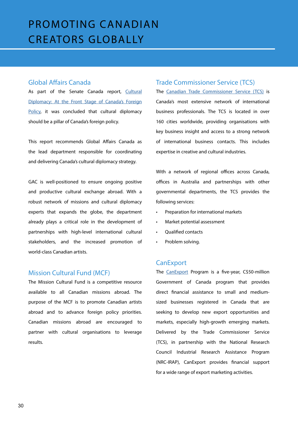#### <span id="page-29-0"></span>Global Affairs Canada

As part of the Senate Canada report, [Cultural](https://sencanada.ca/content/sen/committee/421/AEFA/Reports/Report_CulturalDiplomacy_e.pdf) [Diplomacy: At the Front Stage of Canada's Foreign](https://sencanada.ca/content/sen/committee/421/AEFA/Reports/Report_CulturalDiplomacy_e.pdf) [Policy,](https://sencanada.ca/content/sen/committee/421/AEFA/Reports/Report_CulturalDiplomacy_e.pdf) it was concluded that cultural diplomacy should be a pillar of Canada's foreign policy.

This report recommends Global Affairs Canada as the lead department responsible for coordinating and delivering Canada's cultural diplomacy strategy.

GAC is well-positioned to ensure ongoing positive and productive cultural exchange abroad. With a robust network of missions and cultural diplomacy experts that expands the globe, the department already plays a critical role in the development of partnerships with high-level international cultural stakeholders, and the increased promotion of world-class Canadian artists.

#### Mission Cultural Fund (MCF)

The Mission Cultural Fund is a competitive resource available to all Canadian missions abroad. The purpose of the MCF is to promote Canadian artists abroad and to advance foreign policy priorities. Canadian missions abroad are encouraged to partner with cultural organisations to leverage results.

#### Trade Commissioner Service (TCS)

The [Canadian Trade Commissioner Service \(TCS\)](https://www.tradecommissioner.gc.ca/australia-australie/index.aspx?lang=eng) is Canada's most extensive network of international business professionals. The TCS is located in over 160 cities worldwide, providing organisations with key business insight and access to a strong network of international business contacts. This includes expertise in creative and cultural industries.

With a network of regional offices across Canada, offices in Australia and partnerships with other governmental departments, the TCS provides the following services:

- Preparation for international markets
- Market potential assessment
- Qualified contacts
- Problem solving.

#### **CanExport**

The [CanExport](https://www.tradecommissioner.gc.ca/trade_commissioners-delegues_commerciaux/funding-financement/canexport/index.aspx?lang=eng) Program is a five-year, C\$50-million Government of Canada program that provides direct financial assistance to small and mediumsized businesses registered in Canada that are seeking to develop new export opportunities and markets, especially high-growth emerging markets. Delivered by the Trade Commissioner Service (TCS), in partnership with the National Research Council Industrial Research Assistance Program (NRC-IRAP), CanExport provides financial support for a wide range of export marketing activities.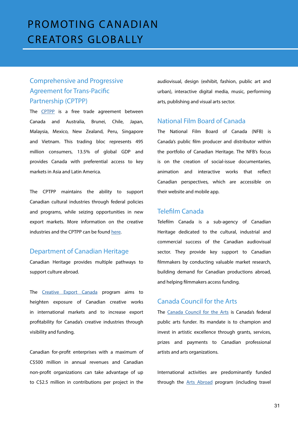#### Comprehensive and Progressive Agreement for Trans-Pacific Partnership (CPTPP)

The [CPTPP](https://www.international.gc.ca/trade-commerce/trade-agreements-accords-commerciaux/agr-acc/cptpp-ptpgp/index.aspx?lang=eng) is a free trade agreement between Canada and Australia, Brunei, Chile, Japan, Malaysia, Mexico, New Zealand, Peru, Singapore and Vietnam. This trading bloc represents 495 million consumers, 13.5% of global GDP and provides Canada with preferential access to key markets in Asia and Latin America.

The CPTPP maintains the ability to support Canadian cultural industries through federal policies and programs, while seizing opportunities in new export markets. More information on the creative industries and the CPTPP can be found [here](https://www.international.gc.ca/trade-commerce/trade-agreements-accords-commerciaux/agr-acc/cptpp-ptpgp/sectors-secteurs/culture.aspx?lang=eng).

#### Department of Canadian Heritage

Canadian Heritage provides multiple pathways to support culture abroad.

The [Creative Export Canada](https://www.canada.ca/en/canadian-heritage/services/funding/creative-export-canada.html) program aims to heighten exposure of Canadian creative works in international markets and to increase export profitability for Canada's creative industries through visibility and funding.

Canadian for-profit enterprises with a maximum of C\$500 million in annual revenues and Canadian non-profit organizations can take advantage of up to C\$2.5 million in contributions per project in the audiovisual, design (exhibit, fashion, public art and urban), interactive digital media, music, performing arts, publishing and visual arts sector.

#### National Film Board of Canada

The National Film Board of Canada (NFB) is Canada's public film producer and distributor within the portfolio of Canadian Heritage. The NFB's focus is on the creation of social-issue documentaries, animation and interactive works that reflect Canadian perspectives, which are accessible on their website and mobile app.

#### Telefilm Canada

Telefilm Canada is a sub-agency of Canadian Heritage dedicated to the cultural, industrial and commercial success of the Canadian audiovisual sector. They provide key support to Canadian filmmakers by conducting valuable market research, building demand for Canadian productions abroad, and helping filmmakers access funding.

#### Canada Council for the Arts

The [Canada Council for the Arts](https://canadacouncil.ca/) is Canada's federal public arts funder. Its mandate is to champion and invest in artistic excellence through grants, services, prizes and payments to Canadian professional artists and arts organizations.

International activities are predominantly funded through the [Arts Abroad](https://canadacouncil.ca/funding/grants/arts-abroad) program (including travel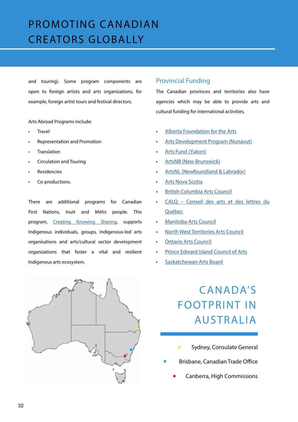and touring). Some program components are open to foreign artists and arts organizations, for example, foreign artist tours and festival directors.

Arts Abroad Programs include:

- **Travel**
- Representation and Promotion
- **Translation**
- Circulation and Touring
- **Residencies**
- Co-productions.

There are additional programs for Canadian First Nations, Inuit and Métis people. This program, [Creating Knowing Sharing](https://canadacouncil.ca/funding/grants/creating-knowing-sharing), supports Indigenous individuals, groups, Indigenous-led arts organisations and arts/cultural sector development organizations that foster a vital and resilient Indigenous arts ecosystem.



#### Provincial Funding

The Canadian provinces and territories also have agencies which may be able to provide arts and cultural funding for international activities.

- [Alberta Foundation for the Arts](https://www.affta.ab.ca/)
- [Arts Development Program \(Nunavut\)](https://www.gov.nu.ca/edt/information/overviewcontact-information-arts-culture)
- [Arts Fund \(Yukon\)](https://yukon.ca/en/apply-arts-fund)
- [ArtsNB \(New Brunswick\)](https://artsnb.ca/web/)
- [ArtsNL \(Newfoundland & Labrador\)](http://nlac.ca/index.htm)
- [Arts Nova Scotia](https://artsns.ca/)
- [British Columbia Arts Council](https://www.bcartscouncil.ca/)
- [CALQ Conseil des arts et des lettres du](https://www.calq.gouv.qc.ca/en/)  [Québec](https://www.calq.gouv.qc.ca/en/)
- [Manitoba Arts Counci](https://artscouncil.mb.ca/)l
- [North West Territories Arts Council](https://www.nwtartscouncil.ca/)
- [Ontario Arts Council](https://www.arts.on.ca/)
- [Prince Edward Island Council of Arts](https://www.princeedwardisland.ca/en/information/innovation-pei/arts-grants-program)
- [Saskatchewan Arts Board](https://sk-arts.ca/)

## CANADA'S FOOTPRINT IN AUSTRALIA

- [Sydney,](https://goo.gl/maps/SRvaWQhjij1D9ivGA) Consulate General
- Brisbane, Canadian Trade Office
	- Canberra, High Commissions